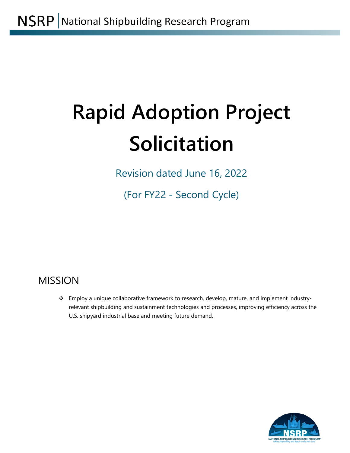# **Rapid Adoption Project Solicitation**

Revision dated June 16, 2022

(For FY22 - Second Cycle)

# MISSION

\* Employ a unique collaborative framework to research, develop, mature, and implement industryrelevant shipbuilding and sustainment technologies and processes, improving efficiency across the U.S. shipyard industrial base and meeting future demand.

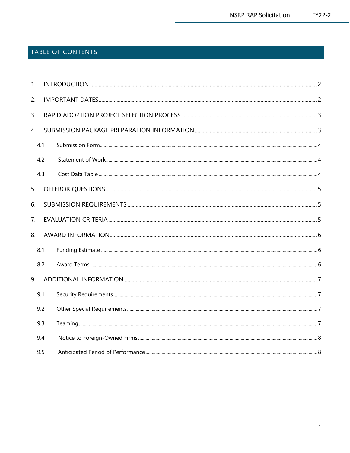# TABLE OF CONTENTS

| 1 <sub>1</sub> |     |  |
|----------------|-----|--|
| 2.             |     |  |
| 3.             |     |  |
| 4.             |     |  |
|                | 4.1 |  |
|                | 4.2 |  |
|                | 4.3 |  |
| 5.             |     |  |
| 6.             |     |  |
| 7.             |     |  |
| 8.             |     |  |
|                | 8.1 |  |
|                | 8.2 |  |
| 9.             |     |  |
|                | 9.1 |  |
|                | 9.2 |  |
|                | 9.3 |  |
|                | 9.4 |  |
|                | 9.5 |  |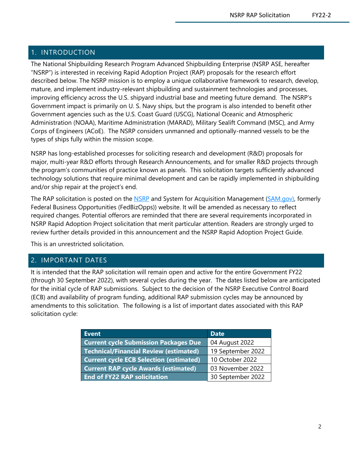# <span id="page-2-0"></span>1. INTRODUCTION

The National Shipbuilding Research Program Advanced Shipbuilding Enterprise (NSRP ASE, hereafter "NSRP") is interested in receiving Rapid Adoption Project (RAP) proposals for the research effort described below. The NSRP mission is to employ a unique collaborative framework to research, develop, mature, and implement industry-relevant shipbuilding and sustainment technologies and processes, improving efficiency across the U.S. shipyard industrial base and meeting future demand. The NSRP's Government impact is primarily on U. S. Navy ships, but the program is also intended to benefit other Government agencies such as the U.S. Coast Guard (USCG), National Oceanic and Atmospheric Administration (NOAA), Maritime Administration (MARAD), Military Sealift Command (MSC), and Army Corps of Engineers (ACoE). The NSRP considers unmanned and optionally-manned vessels to be the types of ships fully within the mission scope.

NSRP has long-established processes for soliciting research and development (R&D) proposals for major, multi-year R&D efforts through Research Announcements, and for smaller R&D projects through the program's communities of practice known as panels. This solicitation targets sufficiently advanced technology solutions that require minimal development and can be rapidly implemented in shipbuilding and/or ship repair at the project's end.

The RAP solicitation is posted on the [NSRP](http://www.nsrp.org/) and System for Acquisition Management [\(SAM.gov\)](https://sam.gov/content/home), formerly Federal Business Opportunities (FedBizOpps)) website. It will be amended as necessary to reflect required changes. Potential offerors are reminded that there are several requirements incorporated in NSRP Rapid Adoption Project solicitation that merit particular attention. Readers are strongly urged to review further details provided in this announcement and the NSRP Rapid Adoption Project Guide.

This is an unrestricted solicitation.

### <span id="page-2-1"></span>2. IMPORTANT DATES

It is intended that the RAP solicitation will remain open and active for the entire Government FY22 (through 30 September 2022), with several cycles during the year. The dates listed below are anticipated for the initial cycle of RAP submissions. Subject to the decision of the NSRP Executive Control Board (ECB) and availability of program funding, additional RAP submission cycles may be announced by amendments to this solicitation. The following is a list of important dates associated with this RAP solicitation cycle:

<span id="page-2-2"></span>

| <b>Event</b>                                   | <b>Date</b>       |
|------------------------------------------------|-------------------|
| <b>Current cycle Submission Packages Due</b>   | 04 August 2022    |
| <b>Technical/Financial Review (estimated)</b>  | 19 September 2022 |
| <b>Current cycle ECB Selection (estimated)</b> | 10 October 2022   |
| <b>Current RAP cycle Awards (estimated)</b>    | 03 November 2022  |
| <b>End of FY22 RAP solicitation</b>            | 30 September 2022 |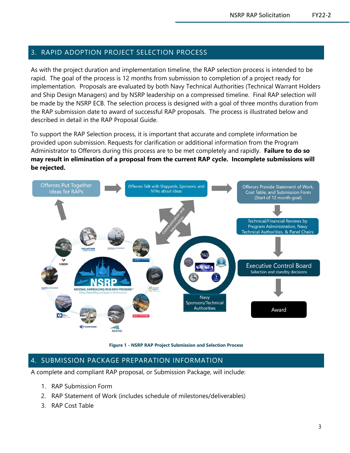# 3. RAPID ADOPTION PROJECT SELECTION PROCESS

As with the project duration and implementation timeline, the RAP selection process is intended to be rapid. The goal of the process is 12 months from submission to completion of a project ready for implementation. Proposals are evaluated by both Navy Technical Authorities (Technical Warrant Holders and Ship Design Managers) and by NSRP leadership on a compressed timeline. Final RAP selection will be made by the NSRP ECB. The selection process is designed with a goal of three months duration from the RAP submission date to award of successful RAP proposals. The process is illustrated below and described in detail in the RAP Proposal Guide.

To support the RAP Selection process, it is important that accurate and complete information be provided upon submission. Requests for clarification or additional information from the Program Administrator to Offerors during this process are to be met completely and rapidly. **Failure to do so may result in elimination of a proposal from the current RAP cycle. Incomplete submissions will be rejected.**



**Figure 1 - NSRP RAP Project Submission and Selection Process**

# <span id="page-3-0"></span>4. SUBMISSION PACKAGE PREPARATION INFORMATION

A complete and compliant RAP proposal, or Submission Package, will include:

- 1. RAP Submission Form
- 2. RAP Statement of Work (includes schedule of milestones/deliverables)
- 3. RAP Cost Table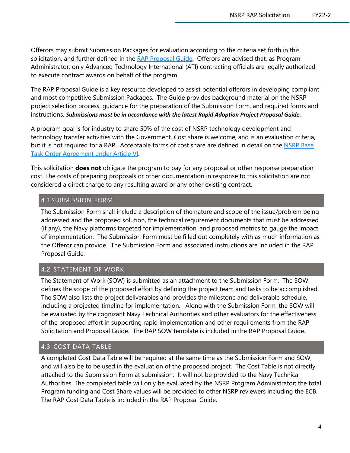Offerors may submit Submission Packages for evaluation according to the criteria set forth in this solicitation, and further defined in the [RAP Proposal Guide.](https://www.nsrp.org/resource-library/) Offerors are advised that, as Program Administrator, only Advanced Technology International (ATI) contracting officials are legally authorized to execute contract awards on behalf of the program.

The RAP Proposal Guide is a key resource developed to assist potential offerors in developing compliant and most competitive Submission Packages. The Guide provides background material on the NSRP project selection process, guidance for the preparation of the Submission Form, and required forms and instructions. *Submissions must be in accordance with the latest Rapid Adoption Project Proposal Guide.* 

A program goal is for industry to share 50% of the cost of NSRP technology development and technology transfer activities with the Government. Cost share is welcome, and is an evaluation criteria, but it is not required for a RAP. Acceptable forms of cost share are defined in detail on the NSRP Base [Task Order Agreement under Article VI.](https://www.nsrp.org/resource-library/)

This solicitation **does not** obligate the program to pay for any proposal or other response preparation cost. The costs of preparing proposals or other documentation in response to this solicitation are not considered a direct charge to any resulting award or any other existing contract.

#### <span id="page-4-0"></span>4.1 SUBMISSION FORM

The Submission Form shall include a description of the nature and scope of the issue/problem being addressed and the proposed solution, the technical requirement documents that must be addressed (if any), the Navy platforms targeted for implementation, and proposed metrics to gauge the impact of implementation. The Submission Form must be filled out completely with as much information as the Offeror can provide. The Submission Form and associated instructions are included in the RAP Proposal Guide.

### <span id="page-4-1"></span>4.2 STATEMENT OF WORK

The Statement of Work (SOW) is submitted as an attachment to the Submission Form. The SOW defines the scope of the proposed effort by defining the project team and tasks to be accomplished. The SOW also lists the project deliverables and provides the milestone and deliverable schedule, including a projected timeline for implementation. Along with the Submission Form, the SOW will be evaluated by the cognizant Navy Technical Authorities and other evaluators for the effectiveness of the proposed effort in supporting rapid implementation and other requirements from the RAP Solicitation and Proposal Guide. The RAP SOW template is included in the RAP Proposal Guide.

#### <span id="page-4-2"></span>4.3 COST DATA TABLE

A completed Cost Data Table will be required at the same time as the Submission Form and SOW, and will also be to be used in the evaluation of the proposed project. The Cost Table is not directly attached to the Submission Form at submission. It will not be provided to the Navy Technical Authorities. The completed table will only be evaluated by the NSRP Program Administrator; the total Program funding and Cost Share values will be provided to other NSRP reviewers including the ECB. The RAP Cost Data Table is included in the RAP Proposal Guide.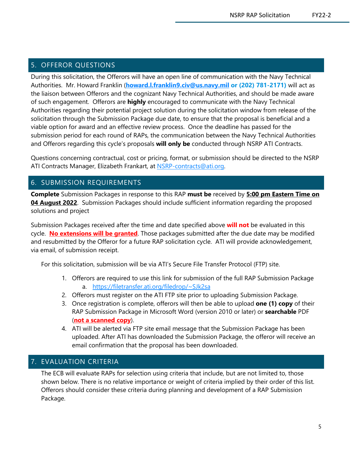# <span id="page-5-0"></span>5. OFFEROR QUESTIONS

During this solicitation, the Offerors will have an open line of communication with the Navy Technical Authorities. Mr. Howard Franklin (**[howard.l.franklin9.civ@us.navy.mil](mailto:howard.l.franklin9.civ@us.navy.mil) or (202) 781-2171)** will act as the liaison between Offerors and the cognizant Navy Technical Authorities, and should be made aware of such engagement. Offerors are **highly** encouraged to communicate with the Navy Technical Authorities regarding their potential project solution during the solicitation window from release of the solicitation through the Submission Package due date, to ensure that the proposal is beneficial and a viable option for award and an effective review process. Once the deadline has passed for the submission period for each round of RAPs, the communication between the Navy Technical Authorities and Offerors regarding this cycle's proposals **will only be** conducted through NSRP ATI Contracts.

Questions concerning contractual, cost or pricing, format, or submission should be directed to the NSRP ATI Contracts Manager, Elizabeth Frankart, at [NSRP-contracts@ati.org.](mailto:NSRP-contracts@ati.org)

# <span id="page-5-1"></span>6. SUBMISSION REQUIREMENTS

**Complete** Submission Packages in response to this RAP **must be** received by **5:00 pm Eastern Time on 04 August 2022**. Submission Packages should include sufficient information regarding the proposed solutions and project

Submission Packages received after the time and date specified above **will not** be evaluated in this cycle. **No extensions will be granted**. Those packages submitted after the due date may be modified and resubmitted by the Offeror for a future RAP solicitation cycle. ATI will provide acknowledgement, via email, of submission receipt.

For this solicitation, submission will be via ATI's Secure File Transfer Protocol (FTP) site.

- 1. Offerors are required to use this link for submission of the full RAP Submission Package a. [https://filetransfer.ati.org/filedrop/~SJk2sa](https://filetransfer.ati.org/filedrop/%7ESJk2sa)
- 2. Offerors must register on the ATI FTP site prior to uploading Submission Package.
- 3. Once registration is complete, offerors will then be able to upload **one (1) copy** of their RAP Submission Package in Microsoft Word (version 2010 or later) or **searchable** PDF (**not a scanned copy**).
- 4. ATI will be alerted via FTP site email message that the Submission Package has been uploaded. After ATI has downloaded the Submission Package, the offeror will receive an email confirmation that the proposal has been downloaded.

# <span id="page-5-2"></span>7. EVALUATION CRITERIA

The ECB will evaluate RAPs for selection using criteria that include, but are not limited to, those shown below. There is no relative importance or weight of criteria implied by their order of this list. Offerors should consider these criteria during planning and development of a RAP Submission Package.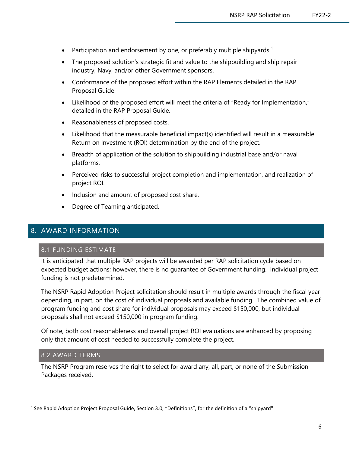- Participation and endorsement by one, or preferably multiple shipyards.<sup>[1](#page-6-3)</sup>
- The proposed solution's strategic fit and value to the shipbuilding and ship repair industry, Navy, and/or other Government sponsors.
- Conformance of the proposed effort within the RAP Elements detailed in the RAP Proposal Guide.
- Likelihood of the proposed effort will meet the criteria of "Ready for Implementation," detailed in the RAP Proposal Guide.
- Reasonableness of proposed costs.
- Likelihood that the measurable beneficial impact(s) identified will result in a measurable Return on Investment (ROI) determination by the end of the project.
- Breadth of application of the solution to shipbuilding industrial base and/or naval platforms.
- Perceived risks to successful project completion and implementation, and realization of project ROI.
- Inclusion and amount of proposed cost share.
- Degree of Teaming anticipated.

### <span id="page-6-1"></span><span id="page-6-0"></span>8. AWARD INFORMATION

#### 8.1 FUNDING ESTIMATE

It is anticipated that multiple RAP projects will be awarded per RAP solicitation cycle based on expected budget actions; however, there is no guarantee of Government funding. Individual project funding is not predetermined.

The NSRP Rapid Adoption Project solicitation should result in multiple awards through the fiscal year depending, in part, on the cost of individual proposals and available funding. The combined value of program funding and cost share for individual proposals may exceed \$150,000, but individual proposals shall not exceed \$150,000 in program funding.

Of note, both cost reasonableness and overall project ROI evaluations are enhanced by proposing only that amount of cost needed to successfully complete the project.

#### <span id="page-6-2"></span>8.2 AWARD TERMS

The NSRP Program reserves the right to select for award any, all, part, or none of the Submission Packages received.

<span id="page-6-3"></span><sup>&</sup>lt;sup>1</sup> See Rapid Adoption Project Proposal Guide, Section 3.0, "Definitions", for the definition of a "shipyard"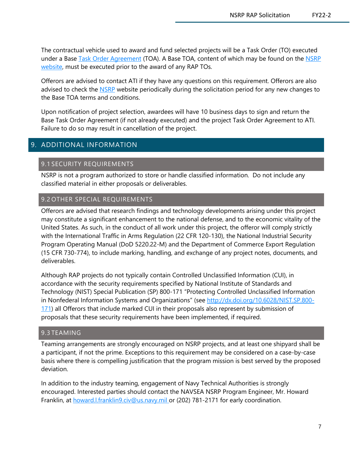The contractual vehicle used to award and fund selected projects will be a Task Order (TO) executed under a Base [Task Order Agreement](http://www.nsrp.org/resource-library/) (TOA). A Base TOA, content of which may be found on the [NSRP](https://www.nsrp.org/)  [website,](https://www.nsrp.org/) must be executed prior to the award of any RAP TOs.

Offerors are advised to contact ATI if they have any questions on this requirement. Offerors are also advised to check the [NSRP](http://www.nsrp.org/) website periodically during the solicitation period for any new changes to the Base TOA terms and conditions.

Upon notification of project selection, awardees will have 10 business days to sign and return the Base Task Order Agreement (if not already executed) and the project Task Order Agreement to ATI. Failure to do so may result in cancellation of the project.

# <span id="page-7-1"></span><span id="page-7-0"></span>9. ADDITIONAL INFORMATION

#### 9.1 SECURITY REQUIREMENTS

NSRP is not a program authorized to store or handle classified information. Do not include any classified material in either proposals or deliverables.

#### <span id="page-7-2"></span>9.2 OTHER SPECIAL REQUIREMENTS

Offerors are advised that research findings and technology developments arising under this project may constitute a significant enhancement to the national defense, and to the economic vitality of the United States. As such, in the conduct of all work under this project, the offeror will comply strictly with the International Traffic in Arms Regulation (22 CFR 120-130), the National Industrial Security Program Operating Manual (DoD 5220.22-M) and the Department of Commerce Export Regulation (15 CFR 730-774), to include marking, handling, and exchange of any project notes, documents, and deliverables.

Although RAP projects do not typically contain Controlled Unclassified Information (CUI), in accordance with the security requirements specified by National Institute of Standards and Technology (NIST) Special Publication (SP) 800-171 "Protecting Controlled Unclassified Information in Nonfederal Information Systems and Organizations" (see [http://dx.doi.org/10.6028/NIST.SP.800-](http://dx.doi.org/10.6028/NIST.SP.800-171) [171\)](http://dx.doi.org/10.6028/NIST.SP.800-171) all Offerors that include marked CUI in their proposals also represent by submission of proposals that these security requirements have been implemented, if required.

#### <span id="page-7-3"></span>9.3 TEAMING

Teaming arrangements are strongly encouraged on NSRP projects, and at least one shipyard shall be a participant, if not the prime. Exceptions to this requirement may be considered on a case-by-case basis where there is compelling justification that the program mission is best served by the proposed deviation.

In addition to the industry teaming, engagement of Navy Technical Authorities is strongly encouraged. Interested parties should contact the NAVSEA NSRP Program Engineer, Mr. Howard Franklin, at howard.I.franklin9.civ@us.navy.mil or (202) 781-2171 for early coordination.